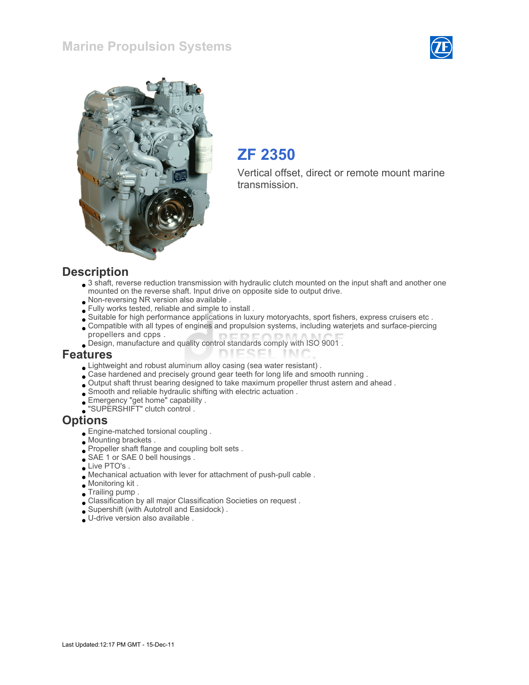#### Marine Propulsion Systems





## ZF 2350

Vertical offset, direct or remote mount marine transmission.

#### **Description**

- 3 shaft, reverse reduction transmission with hydraulic clutch mounted on the input shaft and another one mounted on the reverse shaft. Input drive on opposite side to output drive.
- Non-reversing NR version also available .
- Fully works tested, reliable and simple to install .
- Suitable for high performance applications in luxury motoryachts, sport fishers, express cruisers etc .
- Compatible with all types of engines and propulsion systems, including waterjets and surface-piercing propellers and cpps .

TN 1

Design, manufacture and quality control standards comply with ISO 9001 .

#### Features

- Lightweight and robust aluminum alloy casing (sea water resistant) .
- Case hardened and precisely ground gear teeth for long life and smooth running .
- Output shaft thrust bearing designed to take maximum propeller thrust astern and ahead .

**DIESEI** 

- $\Box$  Smooth and reliable hydraulic shifting with electric actuation .
- Emergency "get home" capability .
- "SUPERSHIFT" clutch control .

#### **Options**

- Engine-matched torsional coupling .
- Mounting brackets .
- Propeller shaft flange and coupling bolt sets .
- SAE 1 or SAE 0 bell housings.
- Live PTO's.
- Mechanical actuation with lever for attachment of push-pull cable .
- Monitoring kit .
- Trailing pump .
- Classification by all major Classification Societies on request .
- Supershift (with Autotroll and Easidock) .
- U-drive version also available .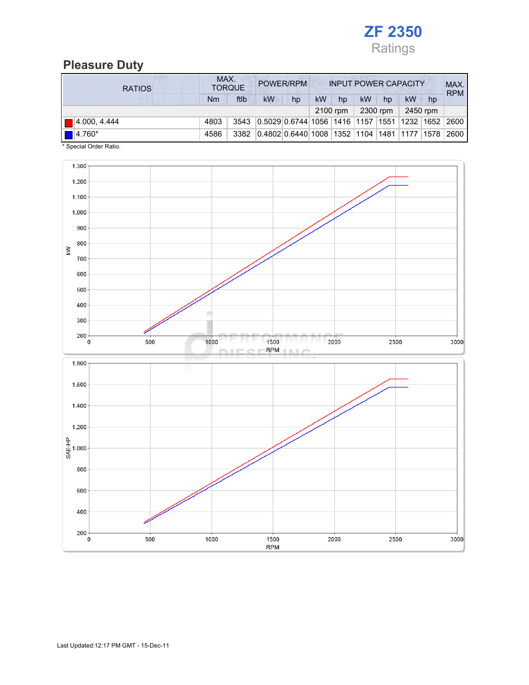

### Pleasure Duty

| <b>RATIOS</b>         | MAX.<br>POWER/RPM<br><b>TORQUE</b> |      |                                                  |    | <b>INPUT POWER CAPACITY</b> |          |    |          |          |    | MAX.<br><b>RPM</b> |
|-----------------------|------------------------------------|------|--------------------------------------------------|----|-----------------------------|----------|----|----------|----------|----|--------------------|
|                       | Nm                                 | ftlb | kW                                               | hp | kW                          | hp       | kW | hp       | kW       | hp |                    |
|                       |                                    |      |                                                  |    |                             | 2100 rpm |    | 2300 rpm | 2450 rpm |    |                    |
| $\Box$ 4.000, 4.444   | 4803                               | 3543 | $ 0.5029 0.6744 1056 1416 1157 1551 1232 1652$   |    |                             |          |    |          |          |    | 2600               |
| $\blacksquare$ 4.760* | 4586                               | 3382 | 0.4802 0.6440 1008  1352  1104  1481  1177  1578 |    |                             |          |    |          |          |    | 2600               |

\* Special Order Ratio.

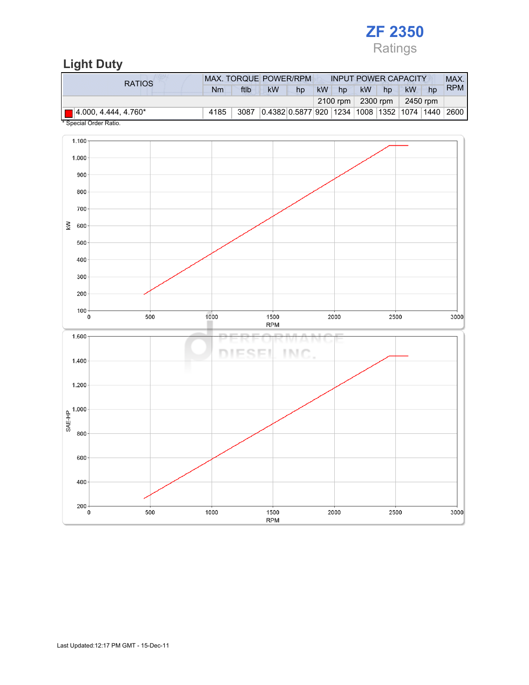# ZF 2350 Ratings

# Light Duty

| RATIOS                              | <b>MAX. TORQUE POWER/RPM</b><br><b>INPUT POWER CAPACITY</b> |      |                                                        |    |           |    |                             |    |           |    | MAX.       |
|-------------------------------------|-------------------------------------------------------------|------|--------------------------------------------------------|----|-----------|----|-----------------------------|----|-----------|----|------------|
|                                     | Nm                                                          | ftlb | kW                                                     | hp | <b>kW</b> | hp | <b>kW</b>                   | hp | <b>kW</b> | hp | <b>RPM</b> |
|                                     |                                                             |      |                                                        |    |           |    | $2100$ rpm $\vert$ 2300 rpm |    | 2450 rpm  |    |            |
| $\blacksquare$ 4.000, 4.444, 4.760* | 4185                                                        | 3087 | 0.4382 0.5877 920  1234  1008  1352  1074  1440   2600 |    |           |    |                             |    |           |    |            |

Special Order Ratio.

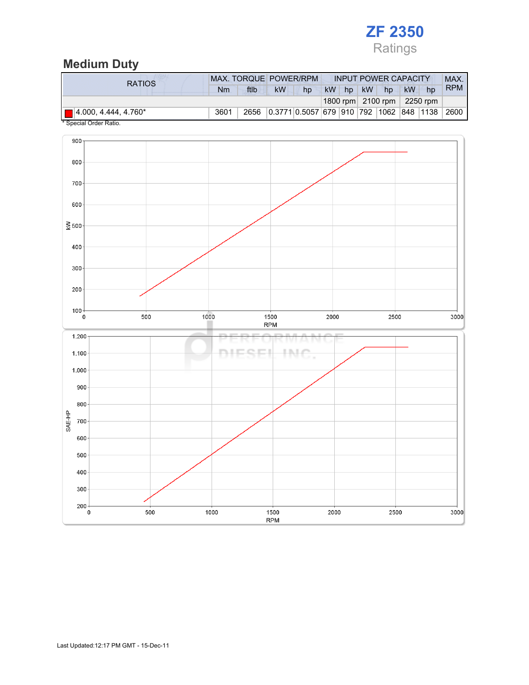

## Medium Duty

| <b>RATIOS</b>                       |      | MAX. TORQUE POWER/RPM |    | <b>INPUT POWER CAPACITY</b>             |    |  |       |                                            | <b>MAX</b> |    |            |
|-------------------------------------|------|-----------------------|----|-----------------------------------------|----|--|-------|--------------------------------------------|------------|----|------------|
|                                     | Nm   | ftlb                  | kW | hp                                      | kW |  | hp kW | hp                                         | kW         | hp | <b>RPM</b> |
|                                     |      |                       |    |                                         |    |  |       | 1800 rpm $\vert$ 2100 rpm $\vert$ 2250 rpm |            |    |            |
| $\blacksquare$ 4.000, 4.444, 4.760* | 3601 | 2656                  |    | 0.3771 0.5057 679 910 792 1062 848 1138 |    |  |       |                                            |            |    | 2600       |

Special Order Ratio.

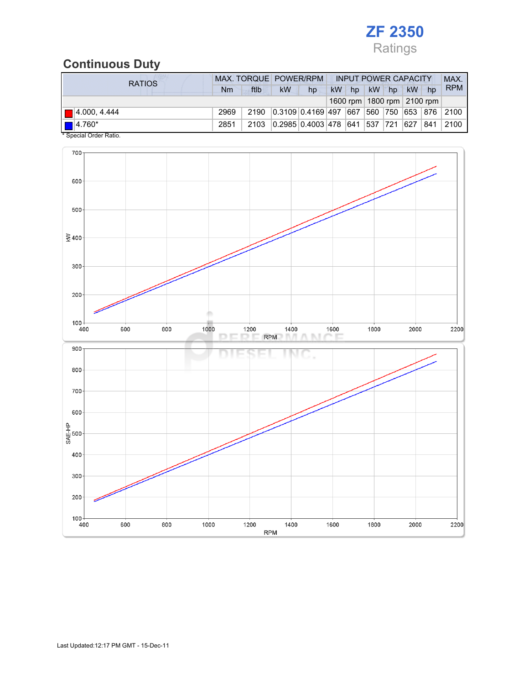

## Continuous Duty

| <b>RATIOS</b>               |      |      | MAX. TORQUE POWER/RPM                         |    | <b>INPUT POWER CAPACITY</b> |       |  |             |  | MAX.                           |            |
|-----------------------------|------|------|-----------------------------------------------|----|-----------------------------|-------|--|-------------|--|--------------------------------|------------|
|                             | Nm   | ftlb | <b>kW</b>                                     | hp |                             | kW hp |  | kW hp kW hp |  |                                | <b>RPM</b> |
|                             |      |      |                                               |    |                             |       |  |             |  | 1600 rpm   1800 rpm   2100 rpm |            |
| $\blacksquare$ 4.000, 4.444 | 2969 | 2190 | $ 0.3109 0.4169 497 667 560 750 653 876 2100$ |    |                             |       |  |             |  |                                |            |
| $\boxed{ }$ 4.760*          | 2851 | 2103 | 0.2985 0.4003 478 641 537 721 627             |    |                             |       |  |             |  | 841                            | 2100       |
| * Special Order Ratio.      |      |      |                                               |    |                             |       |  |             |  |                                |            |

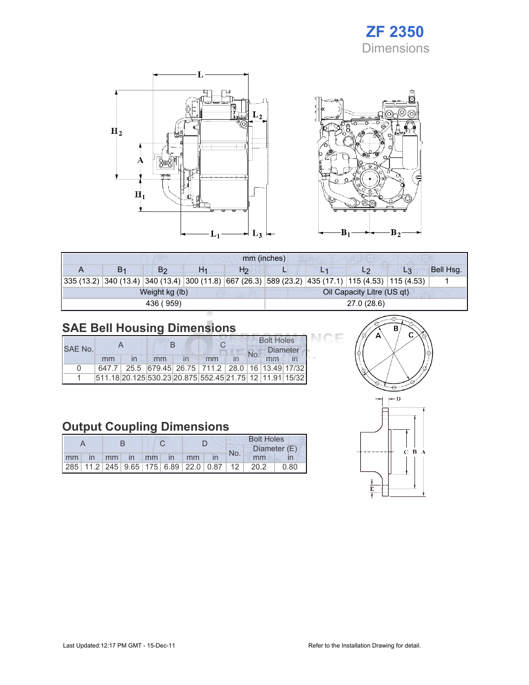# ZF 2350 Dimensions





эF

| mm (inches) |                |    |                |             |  |                            |                                                                                                            |           |  |  |
|-------------|----------------|----|----------------|-------------|--|----------------------------|------------------------------------------------------------------------------------------------------------|-----------|--|--|
| В1          | B2             | H1 | H <sub>2</sub> |             |  |                            | L <sub>3</sub>                                                                                             | Bell Hsg. |  |  |
|             |                |    |                |             |  |                            | 335 (13.2)  340 (13.4)  340 (13.4)  300 (11.8)  667 (26.3)  589 (23.2)  435 (17.1)  115 (4.53)  115 (4.53) |           |  |  |
|             | Weight kg (lb) |    |                |             |  | Oil Capacity Litre (US qt) |                                                                                                            |           |  |  |
|             | 436 (959)      |    |                | 27.0 (28.6) |  |                            |                                                                                                            |           |  |  |

# SAE Bell Housing Dimensions

|         |    |  |    |  |                                                         | <b>Bolt Holes</b> |                 |  |  |
|---------|----|--|----|--|---------------------------------------------------------|-------------------|-----------------|--|--|
| SAE No. |    |  |    |  |                                                         |                   | <b>Diameter</b> |  |  |
|         | mm |  | mm |  | mm                                                      |                   |                 |  |  |
| n       |    |  |    |  | 647.7 25.5 679.45 26.75 711.2 28.0 16 13.49 17/32       |                   |                 |  |  |
|         |    |  |    |  | 511.18 20.125 530.23 20.875 552.45 21.75 12 11.91 15/32 |                   |                 |  |  |

# Output Coupling Dimensions

|    |              |  |          |  |               | <b>Bolt Holes</b> |                                                         |     |      |              |
|----|--------------|--|----------|--|---------------|-------------------|---------------------------------------------------------|-----|------|--------------|
|    |              |  |          |  |               |                   |                                                         | No. |      | Diameter (E) |
| mm | $\mathsf{I}$ |  | mm in mm |  | $\mathsf{In}$ | mm                |                                                         |     | mm   |              |
|    |              |  |          |  |               |                   | 285   11.2   245   9.65   175   6.89   22.0   0.87   12 |     | 20.2 | 0.80         |